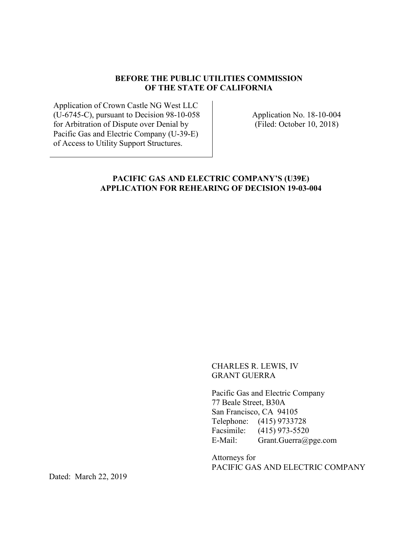#### **BEFORE THE PUBLIC UTILITIES COMMISSION OF THE STATE OF CALIFORNIA**

Application of Crown Castle NG West LLC (U-6745-C), pursuant to Decision 98-10-058 for Arbitration of Dispute over Denial by Pacific Gas and Electric Company (U-39-E) of Access to Utility Support Structures.

Application No. 18-10-004 (Filed: October 10, 2018)

## **PACIFIC GAS AND ELECTRIC COMPANY'S (U39E) APPLICATION FOR REHEARING OF DECISION 19-03-004**

CHARLES R. LEWIS, IV GRANT GUERRA

Pacific Gas and Electric Company 77 Beale Street, B30A San Francisco, CA 94105 Telephone: (415) 9733728 Facsimile: (415) 973-5520 E-Mail: Grant.Guerra@pge.com

Attorneys for PACIFIC GAS AND ELECTRIC COMPANY

Dated: March 22, 2019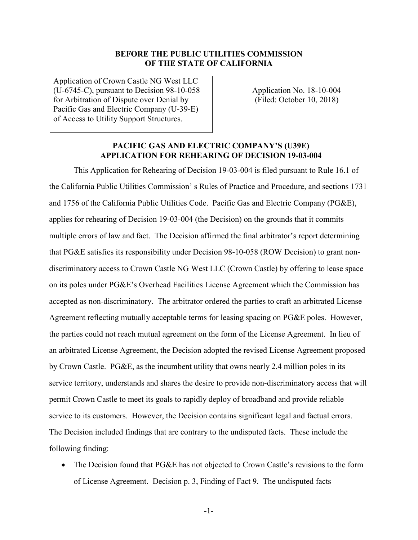## **BEFORE THE PUBLIC UTILITIES COMMISSION OF THE STATE OF CALIFORNIA**

Application of Crown Castle NG West LLC (U-6745-C), pursuant to Decision 98-10-058 for Arbitration of Dispute over Denial by Pacific Gas and Electric Company (U-39-E) of Access to Utility Support Structures.

Application No. 18-10-004 (Filed: October 10, 2018)

## **PACIFIC GAS AND ELECTRIC COMPANY'S (U39E) APPLICATION FOR REHEARING OF DECISION 19-03-004**

This Application for Rehearing of Decision 19-03-004 is filed pursuant to Rule 16.1 of the California Public Utilities Commission' s Rules of Practice and Procedure, and sections 1731 and 1756 of the California Public Utilities Code. Pacific Gas and Electric Company (PG&E), applies for rehearing of Decision 19-03-004 (the Decision) on the grounds that it commits multiple errors of law and fact. The Decision affirmed the final arbitrator's report determining that PG&E satisfies its responsibility under Decision 98-10-058 (ROW Decision) to grant nondiscriminatory access to Crown Castle NG West LLC (Crown Castle) by offering to lease space on its poles under PG&E's Overhead Facilities License Agreement which the Commission has accepted as non-discriminatory. The arbitrator ordered the parties to craft an arbitrated License Agreement reflecting mutually acceptable terms for leasing spacing on PG&E poles. However, the parties could not reach mutual agreement on the form of the License Agreement. In lieu of an arbitrated License Agreement, the Decision adopted the revised License Agreement proposed by Crown Castle. PG&E, as the incumbent utility that owns nearly 2.4 million poles in its service territory, understands and shares the desire to provide non-discriminatory access that will permit Crown Castle to meet its goals to rapidly deploy of broadband and provide reliable service to its customers. However, the Decision contains significant legal and factual errors. The Decision included findings that are contrary to the undisputed facts. These include the following finding:

• The Decision found that PG&E has not objected to Crown Castle's revisions to the form of License Agreement. Decision p. 3, Finding of Fact 9. The undisputed facts

-1-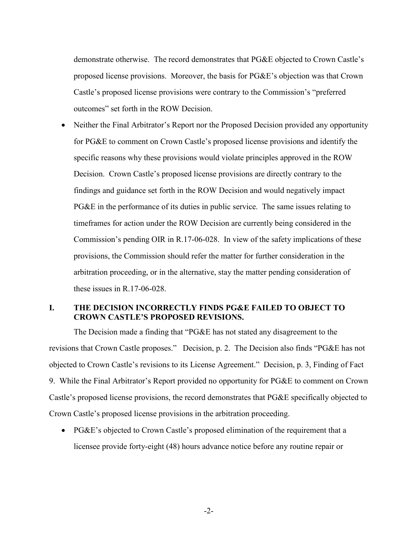demonstrate otherwise. The record demonstrates that PG&E objected to Crown Castle's proposed license provisions. Moreover, the basis for PG&E's objection was that Crown Castle's proposed license provisions were contrary to the Commission's "preferred outcomes" set forth in the ROW Decision.

• Neither the Final Arbitrator's Report nor the Proposed Decision provided any opportunity for PG&E to comment on Crown Castle's proposed license provisions and identify the specific reasons why these provisions would violate principles approved in the ROW Decision. Crown Castle's proposed license provisions are directly contrary to the findings and guidance set forth in the ROW Decision and would negatively impact PG&E in the performance of its duties in public service. The same issues relating to timeframes for action under the ROW Decision are currently being considered in the Commission's pending OIR in R.17-06-028. In view of the safety implications of these provisions, the Commission should refer the matter for further consideration in the arbitration proceeding, or in the alternative, stay the matter pending consideration of these issues in R.17-06-028.

## **I. THE DECISION INCORRECTLY FINDS PG&E FAILED TO OBJECT TO CROWN CASTLE'S PROPOSED REVISIONS.**

The Decision made a finding that "PG&E has not stated any disagreement to the revisions that Crown Castle proposes." Decision, p. 2. The Decision also finds "PG&E has not objected to Crown Castle's revisions to its License Agreement." Decision, p. 3, Finding of Fact 9. While the Final Arbitrator's Report provided no opportunity for PG&E to comment on Crown Castle's proposed license provisions, the record demonstrates that PG&E specifically objected to Crown Castle's proposed license provisions in the arbitration proceeding.

• PG&E's objected to Crown Castle's proposed elimination of the requirement that a licensee provide forty-eight (48) hours advance notice before any routine repair or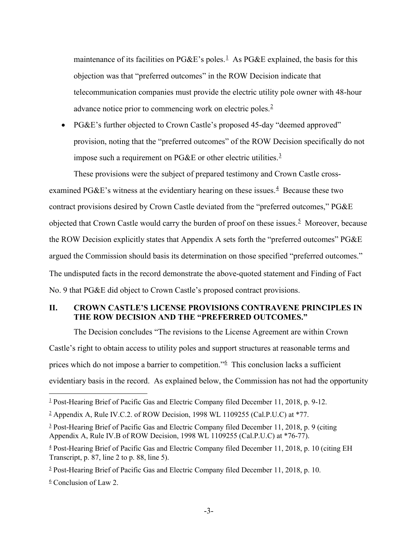maintenance of its facilities on PG&E's poles.<sup>[1](#page-3-0)</sup> As PG&E explained, the basis for this objection was that "preferred outcomes" in the ROW Decision indicate that telecommunication companies must provide the electric utility pole owner with 48-hour advance notice prior to commencing work on electric poles.<sup>[2](#page-3-1)</sup>

• PG&E's further objected to Crown Castle's proposed 45-day "deemed approved" provision, noting that the "preferred outcomes" of the ROW Decision specifically do not impose such a requirement on PG&E or other electric utilities. $3$ 

These provisions were the subject of prepared testimony and Crown Castle cross-examined PG&E's witness at the evidentiary hearing on these issues.<sup>[4](#page-3-3)</sup> Because these two contract provisions desired by Crown Castle deviated from the "preferred outcomes," PG&E objected that Crown Castle would carry the burden of proof on these issues.<sup>[5](#page-3-4)</sup> Moreover, because the ROW Decision explicitly states that Appendix A sets forth the "preferred outcomes" PG&E argued the Commission should basis its determination on those specified "preferred outcomes." The undisputed facts in the record demonstrate the above-quoted statement and Finding of Fact No. 9 that PG&E did object to Crown Castle's proposed contract provisions.

# **II. CROWN CASTLE'S LICENSE PROVISIONS CONTRAVENE PRINCIPLES IN THE ROW DECISION AND THE "PREFERRED OUTCOMES."**

The Decision concludes "The revisions to the License Agreement are within Crown Castle's right to obtain access to utility poles and support structures at reasonable terms and prices which do not impose a barrier to competition."<sup>[6](#page-3-5)</sup> This conclusion lacks a sufficient evidentiary basis in the record. As explained below, the Commission has not had the opportunity

<span id="page-3-0"></span> <sup>1</sup> Post-Hearing Brief of Pacific Gas and Electric Company filed December 11, 2018, p. 9-12.

<span id="page-3-1"></span> $\frac{2}{3}$  Appendix A, Rule IV.C.2. of ROW Decision, 1998 WL 1109255 (Cal.P.U.C) at \*77.

<span id="page-3-2"></span> $3$  Post-Hearing Brief of Pacific Gas and Electric Company filed December 11, 2018, p. 9 (citing Appendix A, Rule IV.B of ROW Decision, 1998 WL 1109255 (Cal.P.U.C) at \*76-77).

<span id="page-3-3"></span><sup>4</sup> Post-Hearing Brief of Pacific Gas and Electric Company filed December 11, 2018, p. 10 (citing EH Transcript, p. 87, line 2 to p. 88, line 5).

<span id="page-3-4"></span> $5$  Post-Hearing Brief of Pacific Gas and Electric Company filed December 11, 2018, p. 10.

<span id="page-3-5"></span> $6$  Conclusion of Law 2.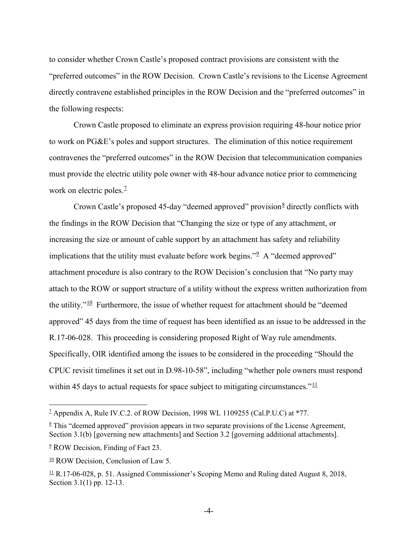to consider whether Crown Castle's proposed contract provisions are consistent with the "preferred outcomes" in the ROW Decision. Crown Castle's revisions to the License Agreement directly contravene established principles in the ROW Decision and the "preferred outcomes" in the following respects:

Crown Castle proposed to eliminate an express provision requiring 48-hour notice prior to work on PG&E's poles and support structures. The elimination of this notice requirement contravenes the "preferred outcomes" in the ROW Decision that telecommunication companies must provide the electric utility pole owner with 48-hour advance notice prior to commencing work on electric poles. $<sup>2</sup>$ </sup>

Crown Castle's proposed 45-day "deemed approved" provision  $\frac{8}{3}$  $\frac{8}{3}$  $\frac{8}{3}$  directly conflicts with the findings in the ROW Decision that "Changing the size or type of any attachment, or increasing the size or amount of cable support by an attachment has safety and reliability implications that the utility must evaluate before work begins."<sup>2</sup> A "deemed approved" attachment procedure is also contrary to the ROW Decision's conclusion that "No party may attach to the ROW or support structure of a utility without the express written authorization from the utility. $10^{\circ}$  $10^{\circ}$  Furthermore, the issue of whether request for attachment should be "deemed" approved" 45 days from the time of request has been identified as an issue to be addressed in the R.17-06-028. This proceeding is considering proposed Right of Way rule amendments. Specifically, OIR identified among the issues to be considered in the proceeding "Should the CPUC revisit timelines it set out in D.98-10-58", including "whether pole owners must respond within 45 days to actual requests for space subject to mitigating circumstances." $\frac{11}{11}$  $\frac{11}{11}$  $\frac{11}{11}$ 

<span id="page-4-0"></span><sup>&</sup>lt;sup>2</sup> Appendix A, Rule IV.C.2. of ROW Decision, 1998 WL 1109255 (Cal.P.U.C) at \*77.

<span id="page-4-1"></span> $8$  This "deemed approved" provision appears in two separate provisions of the License Agreement, Section 3.1(b) [governing new attachments] and Section 3.2 [governing additional attachments].

<span id="page-4-2"></span><sup>&</sup>lt;sup>2</sup> ROW Decision, Finding of Fact 23.

<span id="page-4-3"></span><sup>&</sup>lt;sup>10</sup> ROW Decision, Conclusion of Law 5.

<span id="page-4-4"></span> $\perp$  R.17-06-028, p. 51. Assigned Commissioner's Scoping Memo and Ruling dated August 8, 2018, Section 3.1(1) pp. 12-13.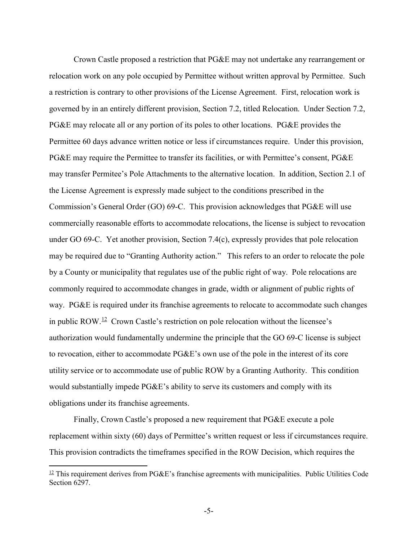Crown Castle proposed a restriction that PG&E may not undertake any rearrangement or relocation work on any pole occupied by Permittee without written approval by Permittee. Such a restriction is contrary to other provisions of the License Agreement. First, relocation work is governed by in an entirely different provision, Section 7.2, titled Relocation. Under Section 7.2, PG&E may relocate all or any portion of its poles to other locations. PG&E provides the Permittee 60 days advance written notice or less if circumstances require. Under this provision, PG&E may require the Permittee to transfer its facilities, or with Permittee's consent, PG&E may transfer Permitee's Pole Attachments to the alternative location. In addition, Section 2.1 of the License Agreement is expressly made subject to the conditions prescribed in the Commission's General Order (GO) 69-C. This provision acknowledges that PG&E will use commercially reasonable efforts to accommodate relocations, the license is subject to revocation under GO 69-C. Yet another provision, Section 7.4(c), expressly provides that pole relocation may be required due to "Granting Authority action." This refers to an order to relocate the pole by a County or municipality that regulates use of the public right of way. Pole relocations are commonly required to accommodate changes in grade, width or alignment of public rights of way. PG&E is required under its franchise agreements to relocate to accommodate such changes in public ROW.<sup>12</sup> Crown Castle's restriction on pole relocation without the licensee's authorization would fundamentally undermine the principle that the GO 69-C license is subject to revocation, either to accommodate PG&E's own use of the pole in the interest of its core utility service or to accommodate use of public ROW by a Granting Authority. This condition would substantially impede PG&E's ability to serve its customers and comply with its obligations under its franchise agreements.

Finally, Crown Castle's proposed a new requirement that PG&E execute a pole replacement within sixty (60) days of Permittee's written request or less if circumstances require. This provision contradicts the timeframes specified in the ROW Decision, which requires the

-5-

<span id="page-5-0"></span> $12$  This requirement derives from PG&E's franchise agreements with municipalities. Public Utilities Code Section 6297.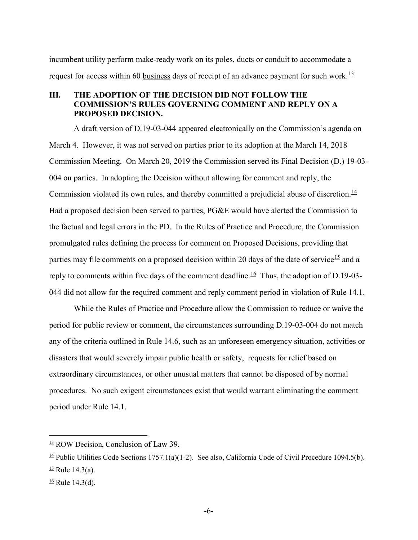incumbent utility perform make-ready work on its poles, ducts or conduit to accommodate a request for access within 60 business days of receipt of an advance payment for such work.<sup>13</sup>

# **III. THE ADOPTION OF THE DECISION DID NOT FOLLOW THE COMMISSION'S RULES GOVERNING COMMENT AND REPLY ON A PROPOSED DECISION.**

A draft version of D.19-03-044 appeared electronically on the Commission's agenda on March 4. However, it was not served on parties prior to its adoption at the March 14, 2018 Commission Meeting. On March 20, 2019 the Commission served its Final Decision (D.) 19-03- 004 on parties. In adopting the Decision without allowing for comment and reply, the Commission violated its own rules, and thereby committed a prejudicial abuse of discretion.<sup>[14](#page-6-1)</sup> Had a proposed decision been served to parties, PG&E would have alerted the Commission to the factual and legal errors in the PD. In the Rules of Practice and Procedure, the Commission promulgated rules defining the process for comment on Proposed Decisions, providing that parties may file comments on a proposed decision within 20 days of the date of service<sup>[15](#page-6-2)</sup> and a reply to comments within five days of the comment deadline.<sup>[16](#page-6-3)</sup> Thus, the adoption of D.19-03-044 did not allow for the required comment and reply comment period in violation of Rule 14.1.

While the Rules of Practice and Procedure allow the Commission to reduce or waive the period for public review or comment, the circumstances surrounding D.19-03-004 do not match any of the criteria outlined in Rule 14.6, such as an unforeseen emergency situation, activities or disasters that would severely impair public health or safety, requests for relief based on extraordinary circumstances, or other unusual matters that cannot be disposed of by normal procedures. No such exigent circumstances exist that would warrant eliminating the comment period under Rule 14.1.

<span id="page-6-0"></span> $13$  ROW Decision, Conclusion of Law 39.

<span id="page-6-2"></span><span id="page-6-1"></span><sup>&</sup>lt;sup>14</sup> Public Utilities Code Sections 1757.1(a)(1-2). See also, California Code of Civil Procedure 1094.5(b).  $\frac{15}{12}$  Rule 14.3(a).

<span id="page-6-3"></span> $\frac{16}{16}$  Rule 14.3(d).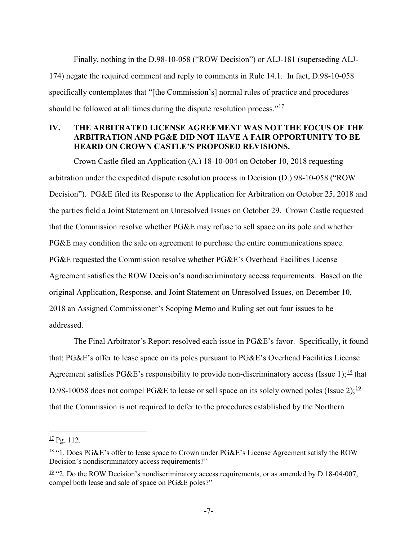Finally, nothing in the D.98-10-058 ("ROW Decision") or ALJ-181 (superseding ALJ-174) negate the required comment and reply to comments in Rule 14.1. In fact, D.98-10-058 specifically contemplates that "[the Commission's] normal rules of practice and procedures should be followed at all times during the dispute resolution process." $\frac{17}{17}$  $\frac{17}{17}$  $\frac{17}{17}$ 

# **IV. THE ARBITRATED LICENSE AGREEMENT WAS NOT THE FOCUS OF THE ARBITRATION AND PG&E DID NOT HAVE A FAIR OPPORTUNITY TO BE HEARD ON CROWN CASTLE'S PROPOSED REVISIONS.**

Crown Castle filed an Application (A.) 18-10-004 on October 10, 2018 requesting arbitration under the expedited dispute resolution process in Decision (D.) 98-10-058 ("ROW Decision"). PG&E filed its Response to the Application for Arbitration on October 25, 2018 and the parties field a Joint Statement on Unresolved Issues on October 29. Crown Castle requested that the Commission resolve whether PG&E may refuse to sell space on its pole and whether PG&E may condition the sale on agreement to purchase the entire communications space. PG&E requested the Commission resolve whether PG&E's Overhead Facilities License Agreement satisfies the ROW Decision's nondiscriminatory access requirements. Based on the original Application, Response, and Joint Statement on Unresolved Issues, on December 10, 2018 an Assigned Commissioner's Scoping Memo and Ruling set out four issues to be addressed.

The Final Arbitrator's Report resolved each issue in PG&E's favor. Specifically, it found that: PG&E's offer to lease space on its poles pursuant to PG&E's Overhead Facilities License Agreement satisfies PG&E's responsibility to provide non-discriminatory access (Issue 1); $^{18}$  $^{18}$  $^{18}$  that D.98-10058 does not compel PG&E to lease or sell space on its solely owned poles (Issue 2);<sup>[19](#page-7-2)</sup> that the Commission is not required to defer to the procedures established by the Northern

<span id="page-7-0"></span> $\frac{17}{2}$  Pg. 112.

<span id="page-7-1"></span> $18$  "1. Does PG&E's offer to lease space to Crown under PG&E's License Agreement satisfy the ROW Decision's nondiscriminatory access requirements?"

<span id="page-7-2"></span> $\frac{19}{2}$  "2. Do the ROW Decision's nondiscriminatory access requirements, or as amended by D.18-04-007, compel both lease and sale of space on PG&E poles?"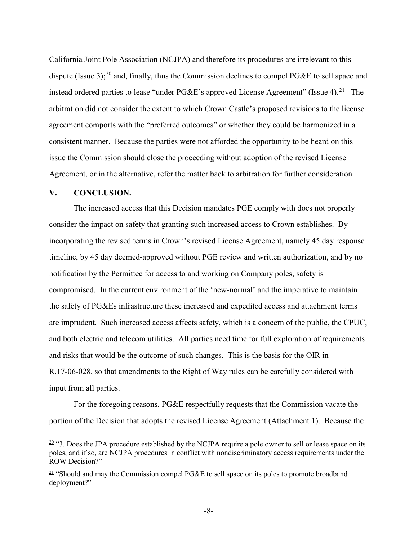California Joint Pole Association (NCJPA) and therefore its procedures are irrelevant to this dispute (Issue 3);  $20$  and, finally, thus the Commission declines to compel PG&E to sell space and instead ordered parties to lease "under PG&E's approved License Agreement" (Issue 4).<sup>[21](#page-8-1)</sup> The arbitration did not consider the extent to which Crown Castle's proposed revisions to the license agreement comports with the "preferred outcomes" or whether they could be harmonized in a consistent manner. Because the parties were not afforded the opportunity to be heard on this issue the Commission should close the proceeding without adoption of the revised License Agreement, or in the alternative, refer the matter back to arbitration for further consideration.

### **V. CONCLUSION.**

The increased access that this Decision mandates PGE comply with does not properly consider the impact on safety that granting such increased access to Crown establishes. By incorporating the revised terms in Crown's revised License Agreement, namely 45 day response timeline, by 45 day deemed-approved without PGE review and written authorization, and by no notification by the Permittee for access to and working on Company poles, safety is compromised. In the current environment of the 'new-normal' and the imperative to maintain the safety of PG&Es infrastructure these increased and expedited access and attachment terms are imprudent. Such increased access affects safety, which is a concern of the public, the CPUC, and both electric and telecom utilities. All parties need time for full exploration of requirements and risks that would be the outcome of such changes. This is the basis for the OIR in R.17-06-028, so that amendments to the Right of Way rules can be carefully considered with input from all parties.

For the foregoing reasons, PG&E respectfully requests that the Commission vacate the portion of the Decision that adopts the revised License Agreement (Attachment 1). Because the

<span id="page-8-0"></span> $\frac{20}{20}$  "3. Does the JPA procedure established by the NCJPA require a pole owner to sell or lease space on its poles, and if so, are NCJPA procedures in conflict with nondiscriminatory access requirements under the ROW Decision?"

<span id="page-8-1"></span> $21$  "Should and may the Commission compel PG&E to sell space on its poles to promote broadband deployment?"